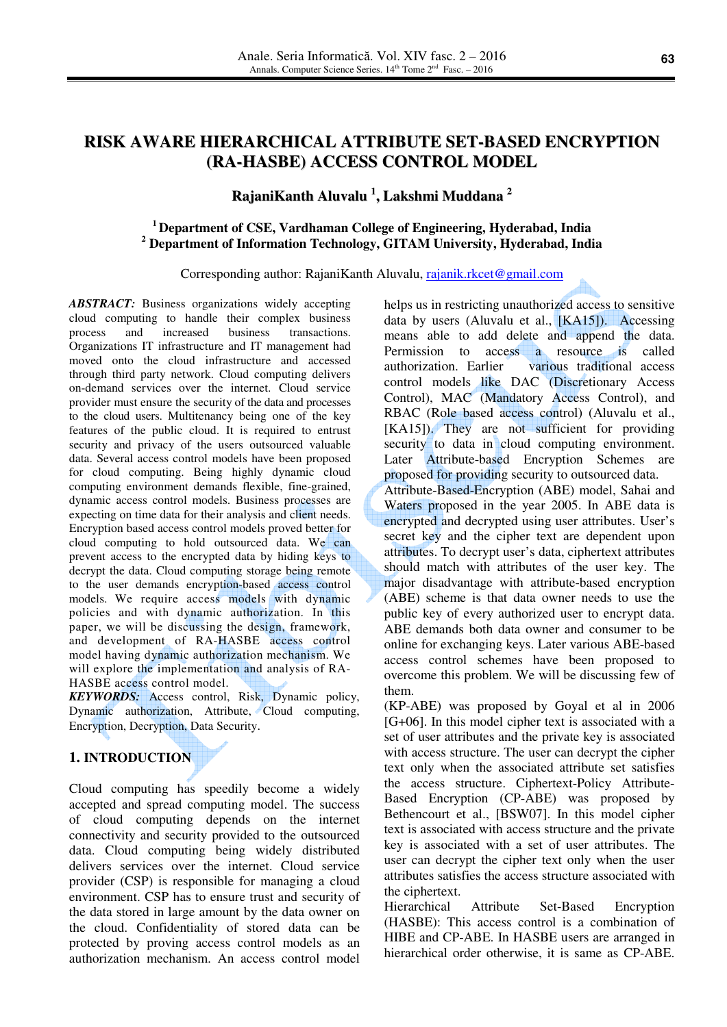# **RISK AWARE HIERARCHICAL ATTRIBUTE SET-BASED ENCRYPTION (RA-HASBE) ACCESS CONTROL MODEL**

# **RajaniKanth Aluvalu 1 , Lakshmi Muddana 2**

## **<sup>1</sup>Department of CSE, Vardhaman College of Engineering, Hyderabad, India 2 Department of Information Technology, GITAM University, Hyderabad, India**

#### Corresponding author: RajaniKanth Aluvalu, rajanik.rkcet@gmail.com

*ABSTRACT:* Business organizations widely accepting cloud computing to handle their complex business process and increased business transactions. Organizations IT infrastructure and IT management had moved onto the cloud infrastructure and accessed through third party network. Cloud computing delivers on-demand services over the internet. Cloud service provider must ensure the security of the data and processes to the cloud users. Multitenancy being one of the key features of the public cloud. It is required to entrust security and privacy of the users outsourced valuable data. Several access control models have been proposed for cloud computing. Being highly dynamic cloud computing environment demands flexible, fine-grained, dynamic access control models. Business processes are expecting on time data for their analysis and client needs. Encryption based access control models proved better for cloud computing to hold outsourced data. We can prevent access to the encrypted data by hiding keys to decrypt the data. Cloud computing storage being remote to the user demands encryption-based access control models. We require access models with dynamic policies and with dynamic authorization. In this paper, we will be discussing the design, framework, and development of RA-HASBE access control model having dynamic authorization mechanism. We will explore the implementation and analysis of RA-HASBE access control model.

*KEYWORDS:* Access control, Risk, Dynamic policy, Dynamic authorization, Attribute, Cloud computing, Encryption, Decryption, Data Security.

## **1. INTRODUCTION**

Cloud computing has speedily become a widely accepted and spread computing model. The success of cloud computing depends on the internet connectivity and security provided to the outsourced data. Cloud computing being widely distributed delivers services over the internet. Cloud service provider (CSP) is responsible for managing a cloud environment. CSP has to ensure trust and security of the data stored in large amount by the data owner on the cloud. Confidentiality of stored data can be protected by proving access control models as an authorization mechanism. An access control model helps us in restricting unauthorized access to sensitive data by users (Aluvalu et al., [KA15]). Accessing means able to add delete and append the data. Permission to access a resource is called authorization. Earlier various traditional access control models like DAC (Discretionary Access Control), MAC (Mandatory Access Control), and RBAC (Role based access control) (Aluvalu et al., [KA15]). They are not sufficient for providing security to data in cloud computing environment. Later Attribute-based Encryption Schemes are proposed for providing security to outsourced data.

Attribute-Based-Encryption (ABE) model, Sahai and Waters proposed in the year 2005. In ABE data is encrypted and decrypted using user attributes. User's secret key and the cipher text are dependent upon attributes. To decrypt user's data, ciphertext attributes should match with attributes of the user key. The major disadvantage with attribute-based encryption (ABE) scheme is that data owner needs to use the public key of every authorized user to encrypt data. ABE demands both data owner and consumer to be online for exchanging keys. Later various ABE-based access control schemes have been proposed to overcome this problem. We will be discussing few of them.

(KP-ABE) was proposed by Goyal et al in 2006 [G+06]. In this model cipher text is associated with a set of user attributes and the private key is associated with access structure. The user can decrypt the cipher text only when the associated attribute set satisfies the access structure. Ciphertext-Policy Attribute-Based Encryption (CP-ABE) was proposed by Bethencourt et al., [BSW07]. In this model cipher text is associated with access structure and the private key is associated with a set of user attributes. The user can decrypt the cipher text only when the user attributes satisfies the access structure associated with the ciphertext.

Hierarchical Attribute Set-Based Encryption (HASBE): This access control is a combination of HIBE and CP-ABE. In HASBE users are arranged in hierarchical order otherwise, it is same as CP-ABE.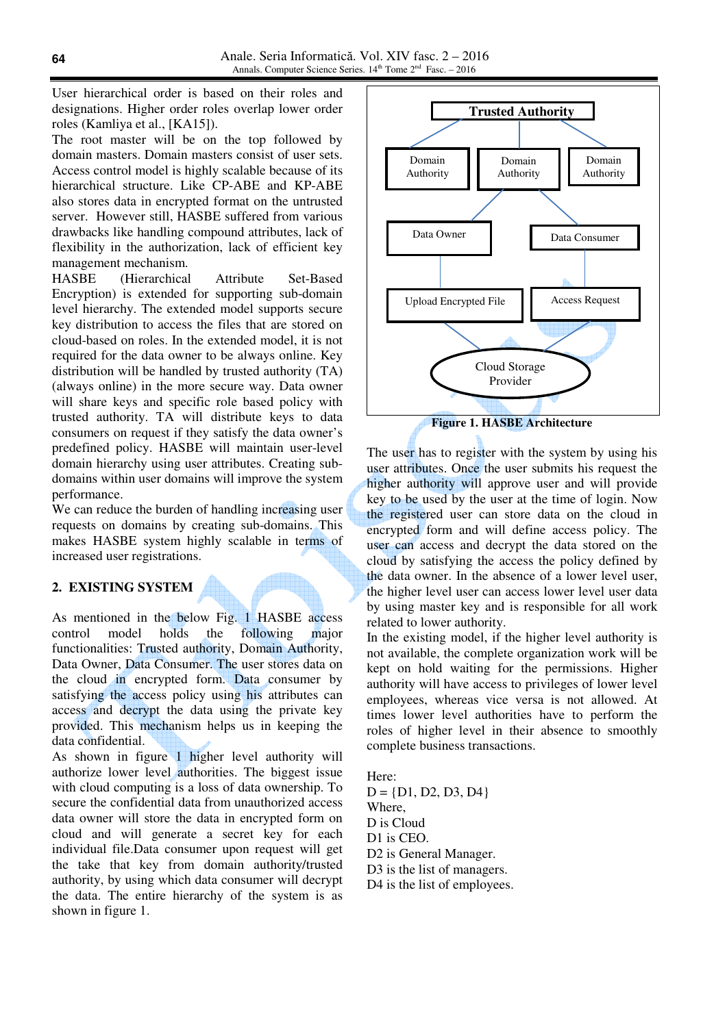User hierarchical order is based on their roles and designations. Higher order roles overlap lower order roles (Kamliya et al., [KA15]).

The root master will be on the top followed by domain masters. Domain masters consist of user sets. Access control model is highly scalable because of its hierarchical structure. Like CP-ABE and KP-ABE also stores data in encrypted format on the untrusted server. However still, HASBE suffered from various drawbacks like handling compound attributes, lack of flexibility in the authorization, lack of efficient key management mechanism.

HASBE (Hierarchical Attribute Set-Based Encryption) is extended for supporting sub-domain level hierarchy. The extended model supports secure key distribution to access the files that are stored on cloud-based on roles. In the extended model, it is not required for the data owner to be always online. Key distribution will be handled by trusted authority (TA) (always online) in the more secure way. Data owner will share keys and specific role based policy with trusted authority. TA will distribute keys to data consumers on request if they satisfy the data owner's predefined policy. HASBE will maintain user-level domain hierarchy using user attributes. Creating subdomains within user domains will improve the system performance.

We can reduce the burden of handling increasing user requests on domains by creating sub-domains. This makes HASBE system highly scalable in terms of increased user registrations.

## **2. EXISTING SYSTEM**

As mentioned in the below Fig. 1 HASBE access control model holds the following major functionalities: Trusted authority, Domain Authority, Data Owner, Data Consumer. The user stores data on the cloud in encrypted form. Data consumer by satisfying the access policy using his attributes can access and decrypt the data using the private key provided. This mechanism helps us in keeping the data confidential.

As shown in figure 1 higher level authority will authorize lower level authorities. The biggest issue with cloud computing is a loss of data ownership. To secure the confidential data from unauthorized access data owner will store the data in encrypted form on cloud and will generate a secret key for each individual file.Data consumer upon request will get the take that key from domain authority/trusted authority, by using which data consumer will decrypt the data. The entire hierarchy of the system is as shown in figure 1.



The user has to register with the system by using his user attributes. Once the user submits his request the higher authority will approve user and will provide key to be used by the user at the time of login. Now the registered user can store data on the cloud in encrypted form and will define access policy. The user can access and decrypt the data stored on the cloud by satisfying the access the policy defined by the data owner. In the absence of a lower level user, the higher level user can access lower level user data by using master key and is responsible for all work related to lower authority.

In the existing model, if the higher level authority is not available, the complete organization work will be kept on hold waiting for the permissions. Higher authority will have access to privileges of lower level employees, whereas vice versa is not allowed. At times lower level authorities have to perform the roles of higher level in their absence to smoothly complete business transactions.

Here:  $D = \{D1, D2, D3, D4\}$ Where, D is Cloud D1 is CEO. D2 is General Manager. D3 is the list of managers. D4 is the list of employees.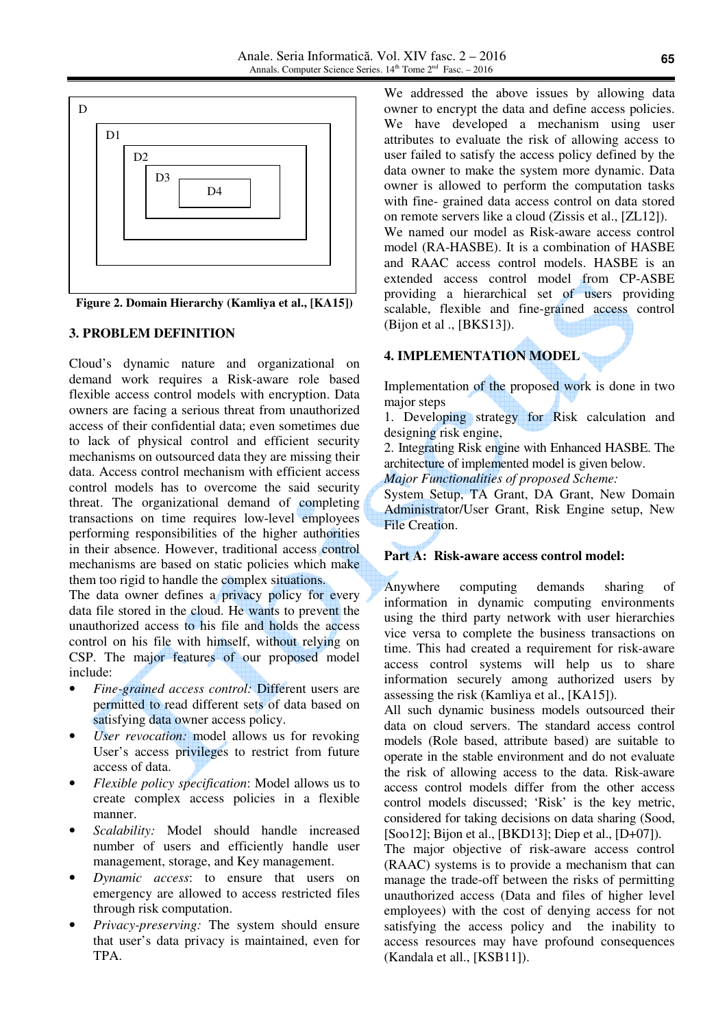

**Figure 2. Domain Hierarchy (Kamliya et al., [KA15])**

#### **3. PROBLEM DEFINITION**

Cloud's dynamic nature and organizational on demand work requires a Risk-aware role based flexible access control models with encryption. Data owners are facing a serious threat from unauthorized access of their confidential data; even sometimes due to lack of physical control and efficient security mechanisms on outsourced data they are missing their data. Access control mechanism with efficient access control models has to overcome the said security threat. The organizational demand of completing transactions on time requires low-level employees performing responsibilities of the higher authorities in their absence. However, traditional access control mechanisms are based on static policies which make them too rigid to handle the complex situations.

The data owner defines a privacy policy for every data file stored in the cloud. He wants to prevent the unauthorized access to his file and holds the access control on his file with himself, without relying on CSP. The major features of our proposed model include:

- *Fine-grained access control:* Different users are permitted to read different sets of data based on satisfying data owner access policy.
- User revocation: model allows us for revoking User's access privileges to restrict from future access of data.
- *Flexible policy specification*: Model allows us to create complex access policies in a flexible manner.
- *Scalability:* Model should handle increased number of users and efficiently handle user management, storage, and Key management.
- *Dynamic access*: to ensure that users on emergency are allowed to access restricted files through risk computation.
- *Privacy-preserving:* The system should ensure that user's data privacy is maintained, even for TPA.

We addressed the above issues by allowing data owner to encrypt the data and define access policies. We have developed a mechanism using user attributes to evaluate the risk of allowing access to user failed to satisfy the access policy defined by the data owner to make the system more dynamic. Data owner is allowed to perform the computation tasks with fine- grained data access control on data stored on remote servers like a cloud (Zissis et al., [ZL12]). We named our model as Risk-aware access control model (RA-HASBE). It is a combination of HASBE and RAAC access control models. HASBE is an extended access control model from CP-ASBE providing a hierarchical set of users providing scalable, flexible and fine-grained access control (Bijon et al ., [BKS13]).

## **4. IMPLEMENTATION MODEL**

Implementation of the proposed work is done in two major steps

1. Developing strategy for Risk calculation and designing risk engine,

2. Integrating Risk engine with Enhanced HASBE. The architecture of implemented model is given below.

*Major Functionalities of proposed Scheme:* 

System Setup, TA Grant, DA Grant, New Domain Administrator/User Grant, Risk Engine setup, New File Creation.

## **Part A: Risk-aware access control model:**

Anywhere computing demands sharing of information in dynamic computing environments using the third party network with user hierarchies vice versa to complete the business transactions on time. This had created a requirement for risk-aware access control systems will help us to share information securely among authorized users by assessing the risk (Kamliya et al., [KA15]).

All such dynamic business models outsourced their data on cloud servers. The standard access control models (Role based, attribute based) are suitable to operate in the stable environment and do not evaluate the risk of allowing access to the data. Risk-aware access control models differ from the other access control models discussed; 'Risk' is the key metric, considered for taking decisions on data sharing (Sood, [Soo12]; Bijon et al., [BKD13]; Diep et al., [D+07]).

The major objective of risk-aware access control (RAAC) systems is to provide a mechanism that can manage the trade-off between the risks of permitting unauthorized access (Data and files of higher level employees) with the cost of denying access for not satisfying the access policy and the inability to access resources may have profound consequences (Kandala et all., [KSB11]).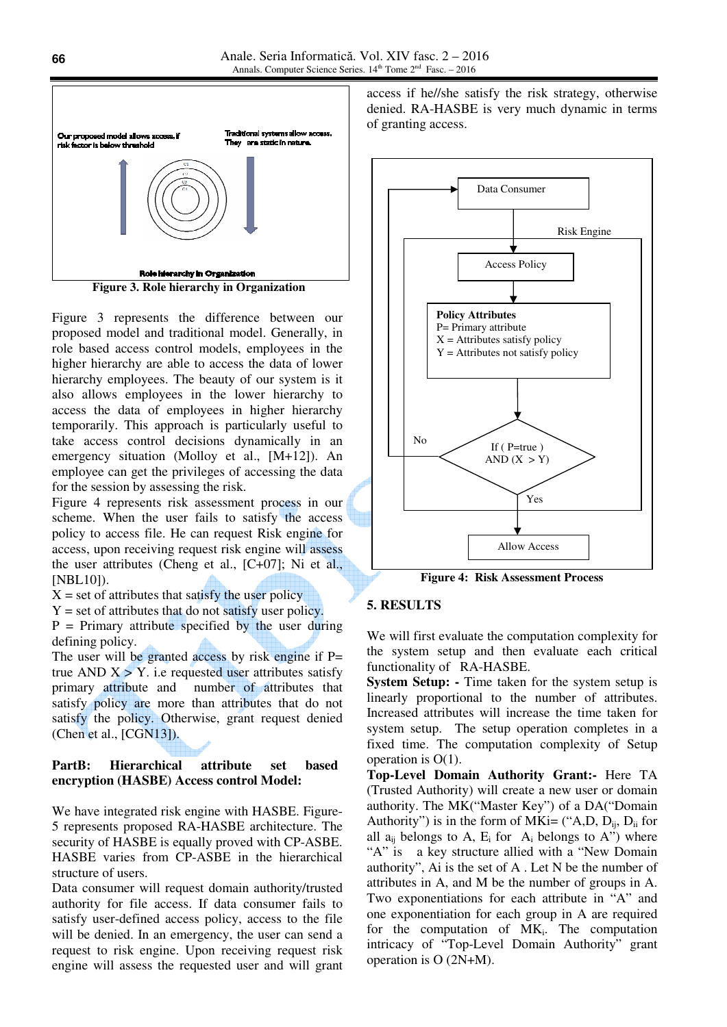

Figure 3 represents the difference between our proposed model and traditional model. Generally, in role based access control models, employees in the higher hierarchy are able to access the data of lower hierarchy employees. The beauty of our system is it also allows employees in the lower hierarchy to access the data of employees in higher hierarchy temporarily. This approach is particularly useful to take access control decisions dynamically in an emergency situation (Molloy et al., [M+12]). An employee can get the privileges of accessing the data for the session by assessing the risk.

Figure 4 represents risk assessment process in our scheme. When the user fails to satisfy the access policy to access file. He can request Risk engine for access, upon receiving request risk engine will assess the user attributes (Cheng et al.,  $[C+07]$ ; Ni et al., [NBL10]).

- $X = set of attributes that satisfy the user policy$
- $Y = set of attributes that do not satisfy user policy.$

 $P = Primary$  attribute specified by the user during defining policy.

The user will be granted access by risk engine if  $P=$ true AND  $X > Y$ . i.e requested user attributes satisfy primary attribute and number of attributes that satisfy policy are more than attributes that do not satisfy the policy. Otherwise, grant request denied (Chen et al., [CGN13]).

#### **PartB: Hierarchical attribute set based encryption (HASBE) Access control Model:**

We have integrated risk engine with HASBE. Figure-5 represents proposed RA-HASBE architecture. The security of HASBE is equally proved with CP-ASBE. HASBE varies from CP-ASBE in the hierarchical structure of users.

Data consumer will request domain authority/trusted authority for file access. If data consumer fails to satisfy user-defined access policy, access to the file will be denied. In an emergency, the user can send a request to risk engine. Upon receiving request risk engine will assess the requested user and will grant access if he//she satisfy the risk strategy, otherwise denied. RA-HASBE is very much dynamic in terms of granting access.



**Figure 4: Risk Assessment Process**

#### **5. RESULTS**

We will first evaluate the computation complexity for the system setup and then evaluate each critical functionality of RA-HASBE.

**System Setup: -** Time taken for the system setup is linearly proportional to the number of attributes. Increased attributes will increase the time taken for system setup. The setup operation completes in a fixed time. The computation complexity of Setup operation is O(1).

**Top-Level Domain Authority Grant:-** Here TA (Trusted Authority) will create a new user or domain authority. The MK("Master Key") of a DA("Domain Authority") is in the form of MKi= ("A,D,  $D_{ii}$ ,  $D_{ii}$  for all  $a_{ij}$  belongs to A,  $E_i$  for  $A_i$  belongs to A") where "A" is a key structure allied with a "New Domain authority", Ai is the set of A . Let N be the number of attributes in A, and M be the number of groups in A. Two exponentiations for each attribute in "A" and one exponentiation for each group in A are required for the computation of  $MK_i$ . The computation intricacy of "Top-Level Domain Authority" grant operation is O (2N+M).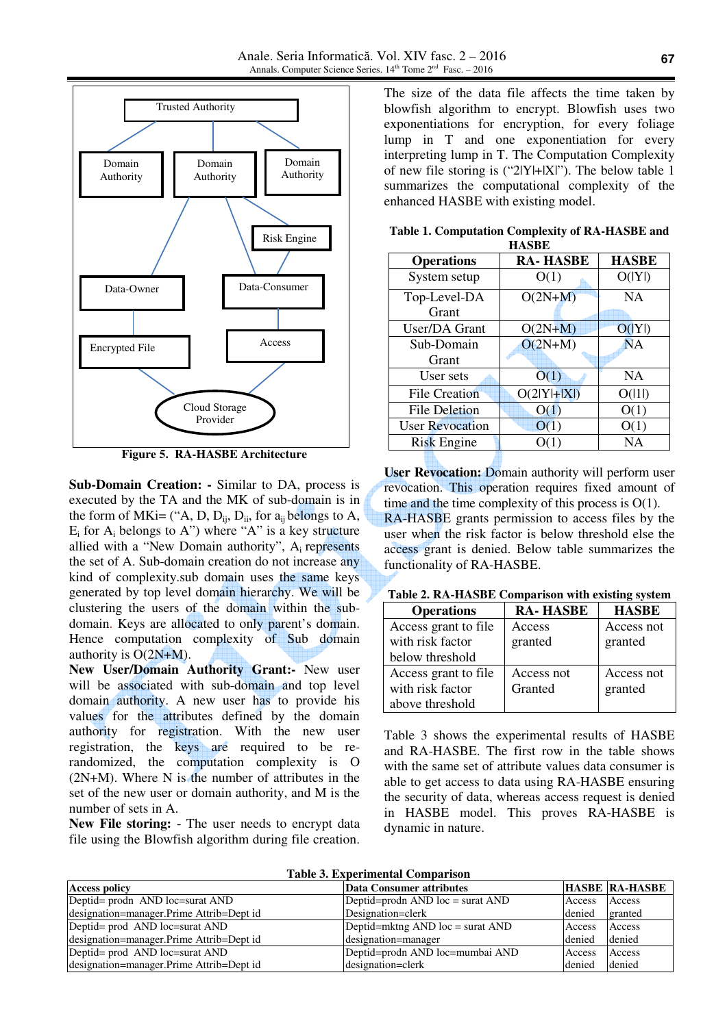

**Figure 5. RA-HASBE Architecture** 

**Sub-Domain Creation: -** Similar to DA, process is executed by the TA and the MK of sub-domain is in the form of MKi= ("A, D,  $D_{ii}$ ,  $D_{ii}$ , for  $a_{ii}$  belongs to A,  $E_i$  for  $A_i$  belongs to A") where "A" is a key structure allied with a "New Domain authority", Ai represents the set of A. Sub-domain creation do not increase any kind of complexity.sub domain uses the same keys generated by top level domain hierarchy. We will be clustering the users of the domain within the subdomain. Keys are allocated to only parent's domain. Hence computation complexity of Sub domain authority is  $O(2N+M)$ .

**New User/Domain Authority Grant:-** New user will be associated with sub-domain and top level domain authority. A new user has to provide his values for the attributes defined by the domain authority for registration. With the new user registration, the keys are required to be rerandomized, the computation complexity is O (2N+M). Where N is the number of attributes in the set of the new user or domain authority, and M is the number of sets in A.

**New File storing:** - The user needs to encrypt data file using the Blowfish algorithm during file creation.

The size of the data file affects the time taken by blowfish algorithm to encrypt. Blowfish uses two exponentiations for encryption, for every foliage lump in T and one exponentiation for every interpreting lump in T. The Computation Complexity of new file storing is (" $2|Y|+|X|$ "). The below table 1 summarizes the computational complexity of the enhanced HASBE with existing model.

| назве                  |                 |              |  |  |  |  |
|------------------------|-----------------|--------------|--|--|--|--|
| <b>Operations</b>      | <b>RA-HASBE</b> | <b>HASBE</b> |  |  |  |  |
| System setup           | O(1)            | O( Y )       |  |  |  |  |
| Top-Level-DA           | $O(2N+M)$       | <b>NA</b>    |  |  |  |  |
| Grant                  |                 |              |  |  |  |  |
| User/DA Grant          | $O(2N+M)$       | O( Y )       |  |  |  |  |
| Sub-Domain             | $O(2N+M)$       | <b>NA</b>    |  |  |  |  |
| Grant                  |                 |              |  |  |  |  |
| User sets              | O(1)            | <b>NA</b>    |  |  |  |  |
| <b>File Creation</b>   | $O(2 Y + X )$   | O( 1 )       |  |  |  |  |
| <b>File Deletion</b>   | O(1)            | O(1)         |  |  |  |  |
| <b>User Revocation</b> | O(1)            | O(1)         |  |  |  |  |
| <b>Risk Engine</b>     | O(1)            | NA           |  |  |  |  |
|                        |                 |              |  |  |  |  |

**Table 1. Computation Complexity of RA-HASBE and HASBE** 

**User Revocation:** Domain authority will perform user revocation. This operation requires fixed amount of time and the time complexity of this process is  $O(1)$ . RA-HASBE grants permission to access files by the user when the risk factor is below threshold else the access grant is denied. Below table summarizes the functionality of RA-HASBE.

| Table 2. RA-HASBE Comparison with existing system |  |  |  |  |  |  |  |  |  |  |  |
|---------------------------------------------------|--|--|--|--|--|--|--|--|--|--|--|
|---------------------------------------------------|--|--|--|--|--|--|--|--|--|--|--|

| <b>Operations</b>    | <b>RA-HASBE</b> | <b>HASBE</b> |
|----------------------|-----------------|--------------|
| Access grant to file | Access          | Access not   |
| with risk factor     | granted         | granted      |
| below threshold      |                 |              |
| Access grant to file | Access not      | Access not   |
| with risk factor     | Granted         | granted      |
| above threshold      |                 |              |

Table 3 shows the experimental results of HASBE and RA-HASBE. The first row in the table shows with the same set of attribute values data consumer is able to get access to data using RA-HASBE ensuring the security of data, whereas access request is denied in HASBE model. This proves RA-HASBE is dynamic in nature.

| Tabic 9. EADCHIIRIItal Combarison        |                                           |        |                       |  |  |  |  |
|------------------------------------------|-------------------------------------------|--------|-----------------------|--|--|--|--|
| <b>Access policy</b>                     | Data Consumer attributes                  |        | <b>HASBE RA-HASBE</b> |  |  |  |  |
| Deptid= prodn AND loc=surat AND          | Deptid=prodn AND $loc = \text{surat AND}$ | Access | Access                |  |  |  |  |
| designation=manager.Prime Attrib=Dept id | Designation=clerk                         | denied | granted               |  |  |  |  |
| Deptid= prod AND loc=surat AND           | Deptid= $mktng AND loc = surat AND$       | Access | Access                |  |  |  |  |
| designation=manager.Prime Attrib=Dept id | designation=manager                       | denied | denied                |  |  |  |  |
| Deptid= prod AND loc=surat AND           | Deptid=prodn AND loc=mumbai AND           | Access | Access                |  |  |  |  |
| designation=manager.Prime Attrib=Dept id | designation=clerk                         | denied | denied                |  |  |  |  |

**Table 3. Experimental Comparison**